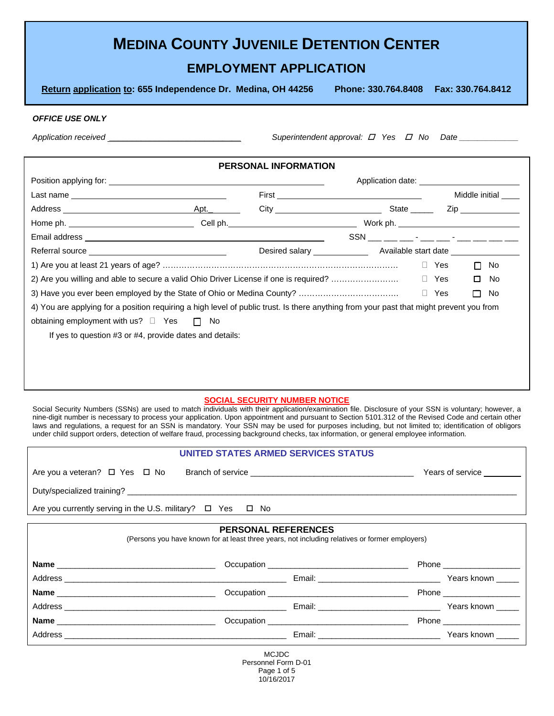|  | <b>MEDINA COUNTY JUVENILE DETENTION CENTER</b> |  |
|--|------------------------------------------------|--|
|--|------------------------------------------------|--|

# **EMPLOYMENT APPLICATION**

**Return application to: 655 Independence Dr. Medina, OH 44256 Phone: 330.764.8408 Fax: 330.764.8412** 

#### *OFFICE USE ONLY*

*Application received \_\_\_\_\_\_\_\_\_\_\_\_\_\_\_\_\_\_\_\_\_\_\_\_\_\_\_\_\_\_\_\_\_* Superintendent approval: *D* Yes *D* No Date \_\_\_\_\_\_\_\_\_\_\_

## **PERSONAL INFORMATION**

|                                                                                                                                                                                                                               |  | Application date: Application date: |            |    |                |
|-------------------------------------------------------------------------------------------------------------------------------------------------------------------------------------------------------------------------------|--|-------------------------------------|------------|----|----------------|
|                                                                                                                                                                                                                               |  |                                     |            |    | Middle initial |
|                                                                                                                                                                                                                               |  |                                     |            |    |                |
|                                                                                                                                                                                                                               |  |                                     |            |    |                |
|                                                                                                                                                                                                                               |  |                                     |            |    |                |
| Referral source experience and the set of the set of the set of the set of the set of the set of the set of the set of the set of the set of the set of the set of the set of the set of the set of the set of the set of the |  |                                     |            |    |                |
|                                                                                                                                                                                                                               |  |                                     | □ Yes      | П. | No             |
| 2) Are you willing and able to secure a valid Ohio Driver License if one is required?                                                                                                                                         |  |                                     | $\Box$ Yes | □  | No             |
|                                                                                                                                                                                                                               |  |                                     | $\Box$ Yes | П  | No.            |
| 4) You are applying for a position requiring a high level of public trust. Is there anything from your past that might prevent you from                                                                                       |  |                                     |            |    |                |
| obtaining employment with us? $\Box$ Yes $\Box$ No                                                                                                                                                                            |  |                                     |            |    |                |
| If yes to question #3 or #4, provide dates and details:                                                                                                                                                                       |  |                                     |            |    |                |
|                                                                                                                                                                                                                               |  |                                     |            |    |                |
|                                                                                                                                                                                                                               |  |                                     |            |    |                |
|                                                                                                                                                                                                                               |  |                                     |            |    |                |

### **SOCIAL SECURITY NUMBER NOTICE**

Social Security Numbers (SSNs) are used to match individuals with their application/examination file. Disclosure of your SSN is voluntary; however, a nine-digit number is necessary to process your application. Upon appointment and pursuant to Section 5101.312 of the Revised Code and certain other laws and regulations, a request for an SSN is mandatory. Your SSN may be used for purposes including, but not limited to; identification of obligors under child support orders, detection of welfare fraud, processing background checks, tax information, or general employee information.

|                                                                                        | UNITED STATES ARMED SERVICES STATUS                                                                                          |                           |
|----------------------------------------------------------------------------------------|------------------------------------------------------------------------------------------------------------------------------|---------------------------|
|                                                                                        |                                                                                                                              | Years of service ________ |
|                                                                                        |                                                                                                                              |                           |
| Are you currently serving in the U.S. military? $\Box$ Yes $\Box$ No                   |                                                                                                                              |                           |
|                                                                                        | <b>PERSONAL REFERENCES</b><br>(Persons you have known for at least three years, not including relatives or former employers) |                           |
|                                                                                        |                                                                                                                              | Phone __________________  |
|                                                                                        |                                                                                                                              |                           |
| <b>在1</b> 我们的人们就会在这里,我们的人们就会在这里,我们的人们就会在这里,我们的人们就会在这里,我们的人们就会在这里,我们的人们就会在这里,我们的人们就会在这里 |                                                                                                                              | $\mathbf{r}$              |

**Name** \_\_\_\_\_\_\_\_\_\_\_\_\_\_\_\_\_\_\_\_\_\_\_\_\_\_\_\_\_\_\_\_\_\_\_ Occupation \_\_\_\_\_\_\_\_\_\_\_\_\_\_\_\_\_\_\_\_\_\_\_\_\_\_\_\_\_\_\_ Phone \_\_\_\_\_\_\_\_\_\_\_\_\_\_\_\_\_ Address \_\_\_\_\_\_\_\_\_\_\_\_\_\_\_\_\_\_\_\_\_\_\_\_\_\_\_\_\_\_\_\_\_\_\_\_\_\_\_\_\_\_\_\_\_\_\_\_\_ Email: \_\_\_\_\_\_\_\_\_\_\_\_\_\_\_\_\_\_\_\_\_\_\_\_\_\_\_ Years known \_\_\_\_\_ **Name** \_\_\_\_\_\_\_\_\_\_\_\_\_\_\_\_\_\_\_\_\_\_\_\_\_\_\_\_\_\_\_\_\_\_\_ Occupation \_\_\_\_\_\_\_\_\_\_\_\_\_\_\_\_\_\_\_\_\_\_\_\_\_\_\_\_\_\_\_ Phone \_\_\_\_\_\_\_\_\_\_\_\_\_\_\_\_\_ Address \_\_\_\_\_\_\_\_\_\_\_\_\_\_\_\_\_\_\_\_\_\_\_\_\_\_\_\_\_\_\_\_\_\_\_\_\_\_\_\_\_\_\_\_\_\_\_\_\_ Email: \_\_\_\_\_\_\_\_\_\_\_\_\_\_\_\_\_\_\_\_\_\_\_\_\_\_\_ Years known \_\_\_\_\_

> MCJDC Personnel Form D-01 Page 1 of 5 10/16/2017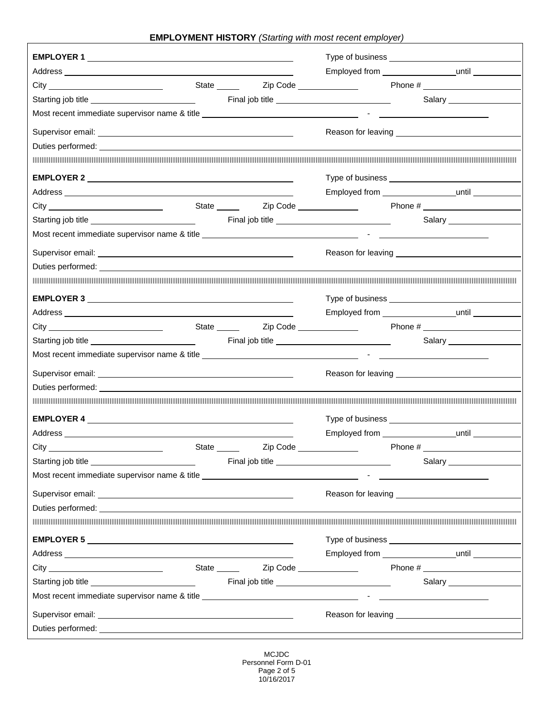**EMPLOYMENT HISTORY** *(Starting with most recent employer)*

|                                                                                                                                                                                                                                      |                                      | Employed from ______________________until ___________                                                                                                                                                                               |                         |
|--------------------------------------------------------------------------------------------------------------------------------------------------------------------------------------------------------------------------------------|--------------------------------------|-------------------------------------------------------------------------------------------------------------------------------------------------------------------------------------------------------------------------------------|-------------------------|
|                                                                                                                                                                                                                                      |                                      | State _______  Zip Code ________________   Phone # _____________________________                                                                                                                                                    |                         |
|                                                                                                                                                                                                                                      |                                      |                                                                                                                                                                                                                                     | Salary ______________   |
|                                                                                                                                                                                                                                      |                                      |                                                                                                                                                                                                                                     |                         |
|                                                                                                                                                                                                                                      |                                      |                                                                                                                                                                                                                                     |                         |
|                                                                                                                                                                                                                                      |                                      |                                                                                                                                                                                                                                     |                         |
| <u> 1989 - Andrea Stadt Stadt Stadt Stadt Stadt Stadt Stadt Stadt Stadt Stadt Stadt Stadt Stadt Stadt Stadt Stadt Stadt Stadt Stadt Stadt Stadt Stadt Stadt Stadt Stadt Stadt Stadt Stadt Stadt Stadt Stadt Stadt Stadt Stadt St</u> |                                      |                                                                                                                                                                                                                                     |                         |
|                                                                                                                                                                                                                                      |                                      |                                                                                                                                                                                                                                     |                         |
|                                                                                                                                                                                                                                      |                                      | Employed from ____________________until __________                                                                                                                                                                                  |                         |
|                                                                                                                                                                                                                                      |                                      |                                                                                                                                                                                                                                     |                         |
|                                                                                                                                                                                                                                      |                                      |                                                                                                                                                                                                                                     |                         |
|                                                                                                                                                                                                                                      |                                      |                                                                                                                                                                                                                                     |                         |
|                                                                                                                                                                                                                                      |                                      | Reason for leaving <b>Network</b> Reason for leaving                                                                                                                                                                                |                         |
| Duties performed: example and a series of the series of the series of the series of the series of the series of the series of the series of the series of the series of the series of the series of the series of the series o       |                                      |                                                                                                                                                                                                                                     |                         |
|                                                                                                                                                                                                                                      |                                      |                                                                                                                                                                                                                                     |                         |
|                                                                                                                                                                                                                                      |                                      |                                                                                                                                                                                                                                     |                         |
|                                                                                                                                                                                                                                      |                                      | Employed from ________________________until ___________                                                                                                                                                                             |                         |
|                                                                                                                                                                                                                                      |                                      |                                                                                                                                                                                                                                     |                         |
|                                                                                                                                                                                                                                      |                                      | Final job title <u>second and the second second second</u>                                                                                                                                                                          |                         |
| Most recent immediate supervisor name & title __________________________________                                                                                                                                                     |                                      | the company of the company of the company of                                                                                                                                                                                        |                         |
|                                                                                                                                                                                                                                      |                                      |                                                                                                                                                                                                                                     |                         |
| Duties performed: experience and the contract of the contract of the contract of the contract of the contract of the contract of the contract of the contract of the contract of the contract of the contract of the contract        |                                      |                                                                                                                                                                                                                                     |                         |
|                                                                                                                                                                                                                                      |                                      |                                                                                                                                                                                                                                     |                         |
|                                                                                                                                                                                                                                      |                                      |                                                                                                                                                                                                                                     |                         |
|                                                                                                                                                                                                                                      |                                      |                                                                                                                                                                                                                                     |                         |
|                                                                                                                                                                                                                                      | State _______ Zip Code _____________ |                                                                                                                                                                                                                                     |                         |
|                                                                                                                                                                                                                                      |                                      | Final job title <b>Example 20</b> Section 20 Apr 20 Section 20 Apr 20 Section 20 Apr 20 Section 20 Apr 20 Section 20 Apr 20 Section 20 Apr 20 Section 20 Apr 20 Section 20 Apr 20 Section 20 Apr 20 Section 20 Apr 20 Section 20 Ap | Salary ________________ |
| Most recent immediate supervisor name & title example and the set of the set of the set of the set of the set of the set of the set of the set of the set of the set of the set of the set of the set of the set of the set of       |                                      |                                                                                                                                                                                                                                     |                         |
| Supervisor email: <u>contract and contract and contract and contract and contract and contract of the contract of the contract of the contract of the contract of the contract of the contract of the contract of the contract o</u> |                                      |                                                                                                                                                                                                                                     |                         |
|                                                                                                                                                                                                                                      |                                      |                                                                                                                                                                                                                                     |                         |

MCJDC Personnel Form D-01 Page 2 of 5 10/16/2017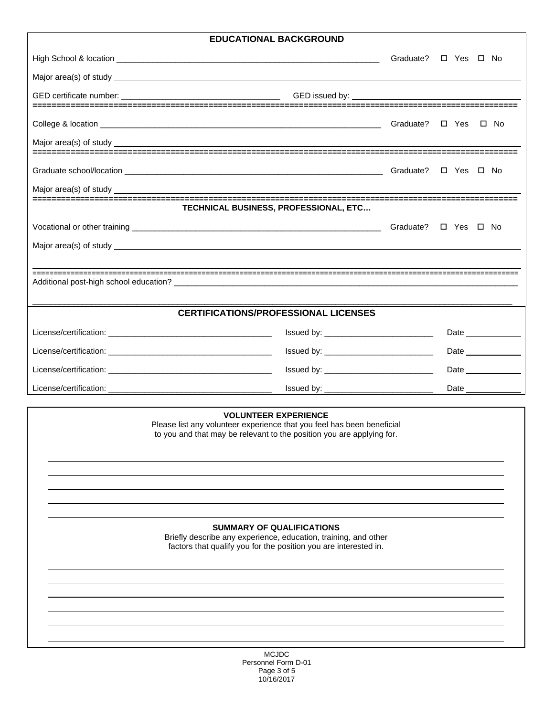## **EDUCATIONAL BACKGROUND**

| <b>EDUCATIONAL BACKGROUND</b>                                                                                                                                                  |                   |
|--------------------------------------------------------------------------------------------------------------------------------------------------------------------------------|-------------------|
|                                                                                                                                                                                | □ Yes □ No        |
|                                                                                                                                                                                |                   |
|                                                                                                                                                                                |                   |
|                                                                                                                                                                                |                   |
|                                                                                                                                                                                |                   |
|                                                                                                                                                                                |                   |
|                                                                                                                                                                                | □ Yes □ No        |
|                                                                                                                                                                                |                   |
| TECHNICAL BUSINESS, PROFESSIONAL, ETC                                                                                                                                          |                   |
|                                                                                                                                                                                | □ Yes □ No        |
|                                                                                                                                                                                |                   |
|                                                                                                                                                                                |                   |
|                                                                                                                                                                                |                   |
|                                                                                                                                                                                |                   |
| <b>CERTIFICATIONS/PROFESSIONAL LICENSES</b>                                                                                                                                    |                   |
|                                                                                                                                                                                | Date ____________ |
|                                                                                                                                                                                | Date              |
|                                                                                                                                                                                | Date              |
|                                                                                                                                                                                | Date              |
| <b>VOLUNTEER EXPERIENCE</b><br>Please list any volunteer experience that you feel has been beneficial<br>to you and that may be relevant to the position you are applying for. |                   |
| <b>SUMMARY OF QUALIFICATIONS</b><br>Briefly describe any experience, education, training, and other<br>factors that qualify you for the position you are interested in.        |                   |

 $\overline{a}$  $\overline{a}$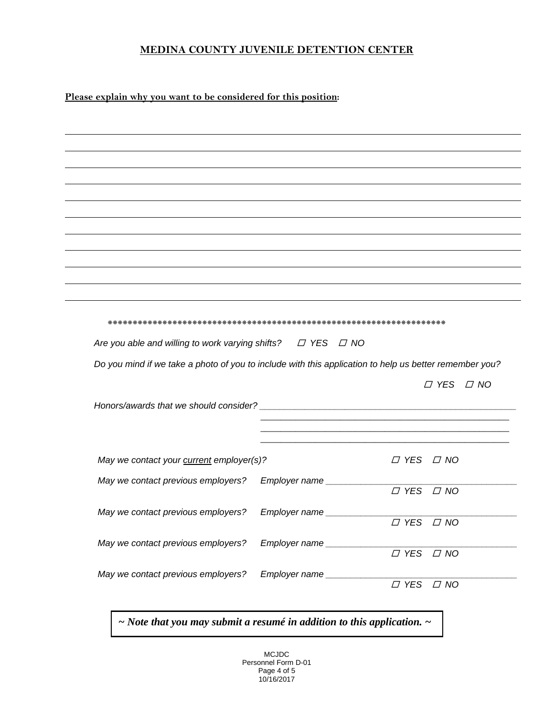## **MEDINA COUNTY JUVENILE DETENTION CENTER**

**Please explain why you want to be considered for this position:** 

| Are you able and willing to work varying shifts? $\Box$ YES $\Box$ NO                                  |                             |                                      |                      |
|--------------------------------------------------------------------------------------------------------|-----------------------------|--------------------------------------|----------------------|
|                                                                                                        |                             |                                      |                      |
|                                                                                                        |                             |                                      |                      |
| Do you mind if we take a photo of you to include with this application to help us better remember you? |                             |                                      |                      |
|                                                                                                        |                             |                                      |                      |
|                                                                                                        |                             |                                      |                      |
|                                                                                                        |                             |                                      | $\Box$ YES $\Box$ NO |
|                                                                                                        |                             |                                      |                      |
| May we contact your current employer(s)?                                                               |                             | $\Box$ YES $\Box$ NO                 |                      |
| May we contact previous employers?                                                                     |                             |                                      |                      |
|                                                                                                        | Employer name               | $\overline{I}$ YES $\overline{I}$ NO |                      |
| May we contact previous employers?                                                                     | Employer name _____________ |                                      |                      |
|                                                                                                        |                             | $\overline{C}$ YES                   | $\Box$ NO            |
| May we contact previous employers?                                                                     | Employer name ___________   |                                      |                      |
| May we contact previous employers?                                                                     | Employer name __________    | $\overline{C}$ YES $\overline{C}$ NO |                      |

*~ Note that you may submit a resumé in addition to this application. ~*